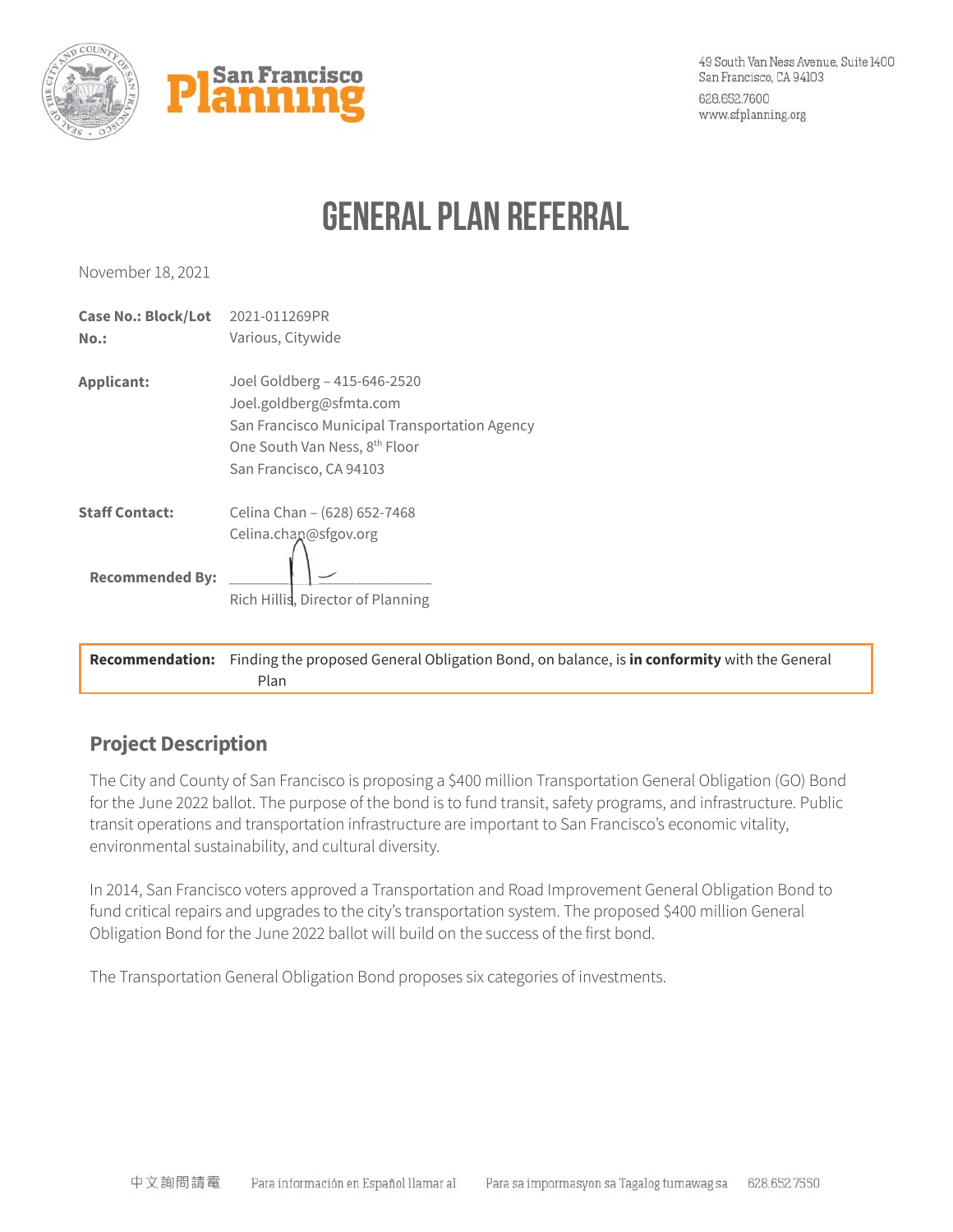

# **General Plan Referral**

November 18, 2021

| San Francisco Municipal Transportation Agency |
|-----------------------------------------------|
|                                               |
|                                               |
|                                               |

**Recommendation:** Finding the proposed General Obligation Bond, on balance, is **in conformity** with the General Plan

## **Project Description**

The City and County of San Francisco is proposing a \$400 million Transportation General Obligation (GO) Bond for the June 2022 ballot. The purpose of the bond is to fund transit, safety programs, and infrastructure. Public transit operations and transportation infrastructure are important to San Francisco's economic vitality, environmental sustainability, and cultural diversity.

In 2014, San Francisco voters approved a Transportation and Road Improvement General Obligation Bond to fund critical repairs and upgrades to the city's transportation system. The proposed \$400 million General Obligation Bond for the June 2022 ballot will build on the success of the first bond.

The Transportation General Obligation Bond proposes six categories of investments.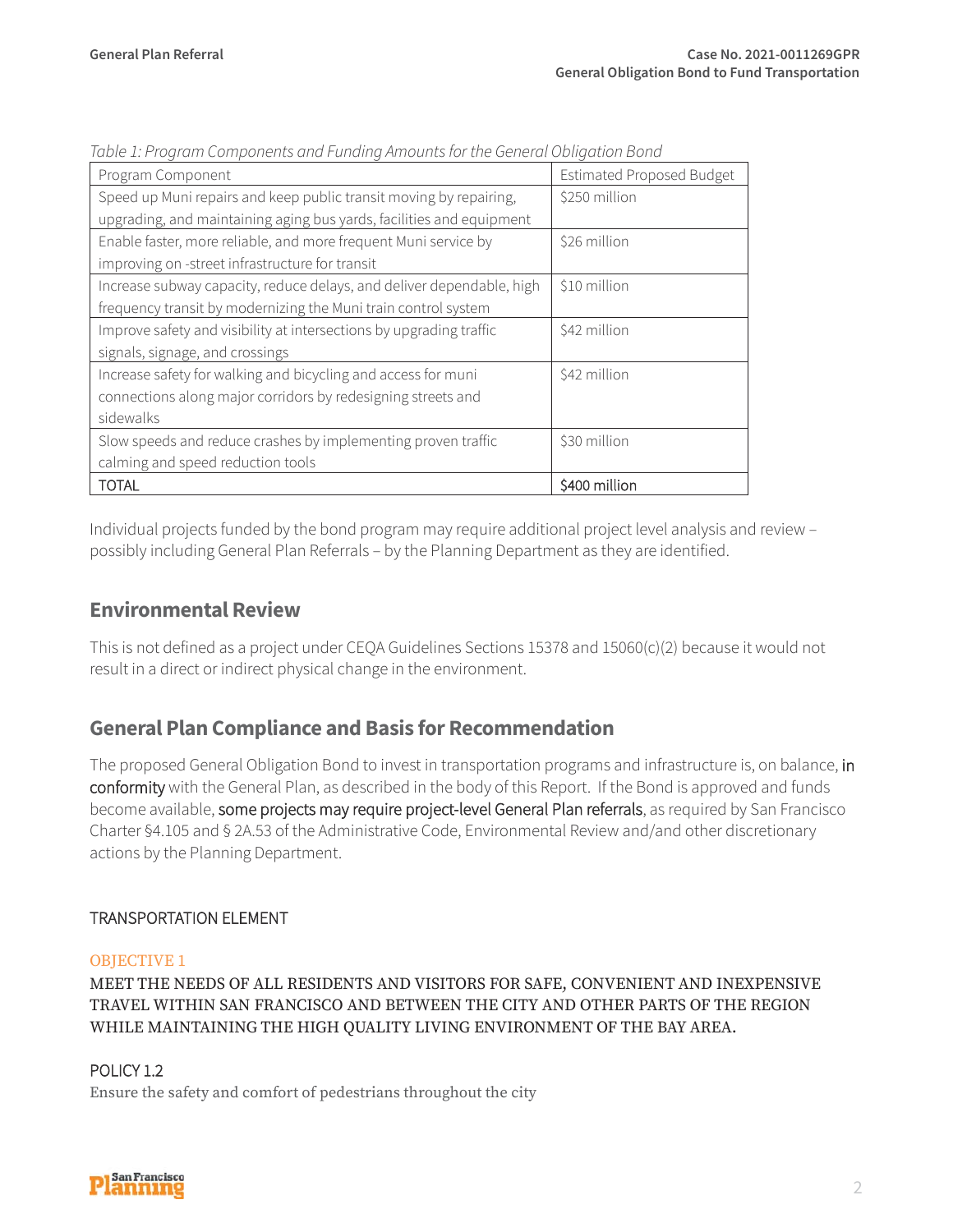| Program Component                                                     | <b>Estimated Proposed Budget</b> |
|-----------------------------------------------------------------------|----------------------------------|
| Speed up Muni repairs and keep public transit moving by repairing,    | \$250 million                    |
| upgrading, and maintaining aging bus yards, facilities and equipment  |                                  |
| Enable faster, more reliable, and more frequent Muni service by       | \$26 million                     |
| improving on -street infrastructure for transit                       |                                  |
| Increase subway capacity, reduce delays, and deliver dependable, high | \$10 million                     |
| frequency transit by modernizing the Muni train control system        |                                  |
| Improve safety and visibility at intersections by upgrading traffic   | \$42 million                     |
| signals, signage, and crossings                                       |                                  |
| Increase safety for walking and bicycling and access for muni         | \$42 million                     |
| connections along major corridors by redesigning streets and          |                                  |
| sidewalks                                                             |                                  |
| Slow speeds and reduce crashes by implementing proven traffic         | \$30 million                     |
| calming and speed reduction tools                                     |                                  |
| <b>TOTAL</b>                                                          | \$400 million                    |

*Table 1: Program Components and Funding Amounts for the General Obligation Bond* 

Individual projects funded by the bond program may require additional project level analysis and review – possibly including General Plan Referrals – by the Planning Department as they are identified.

## **Environmental Review**

This is not defined as a project under CEQA Guidelines Sections 15378 and 15060(c)(2) because it would not result in a direct or indirect physical change in the environment.

## **General Plan Compliance and Basis for Recommendation**

The proposed General Obligation Bond to invest in transportation programs and infrastructure is, on balance, in conformity with the General Plan, as described in the body of this Report. If the Bond is approved and funds become available, some projects may require project-level General Plan referrals, as required by San Francisco Charter §4.105 and § 2A.53 of the Administrative Code, Environmental Review and/and other discretionary actions by the Planning Department.

#### TRANSPORTATION ELEMENT

#### OBJECTIVE 1

MEET THE NEEDS OF ALL RESIDENTS AND VISITORS FOR SAFE, CONVENIENT AND INEXPENSIVE TRAVEL WITHIN SAN FRANCISCO AND BETWEEN THE CITY AND OTHER PARTS OF THE REGION WHILE MAINTAINING THE HIGH QUALITY LIVING ENVIRONMENT OF THE BAY AREA.

### POLICY 1.2

Ensure the safety and comfort of pedestrians throughout the city

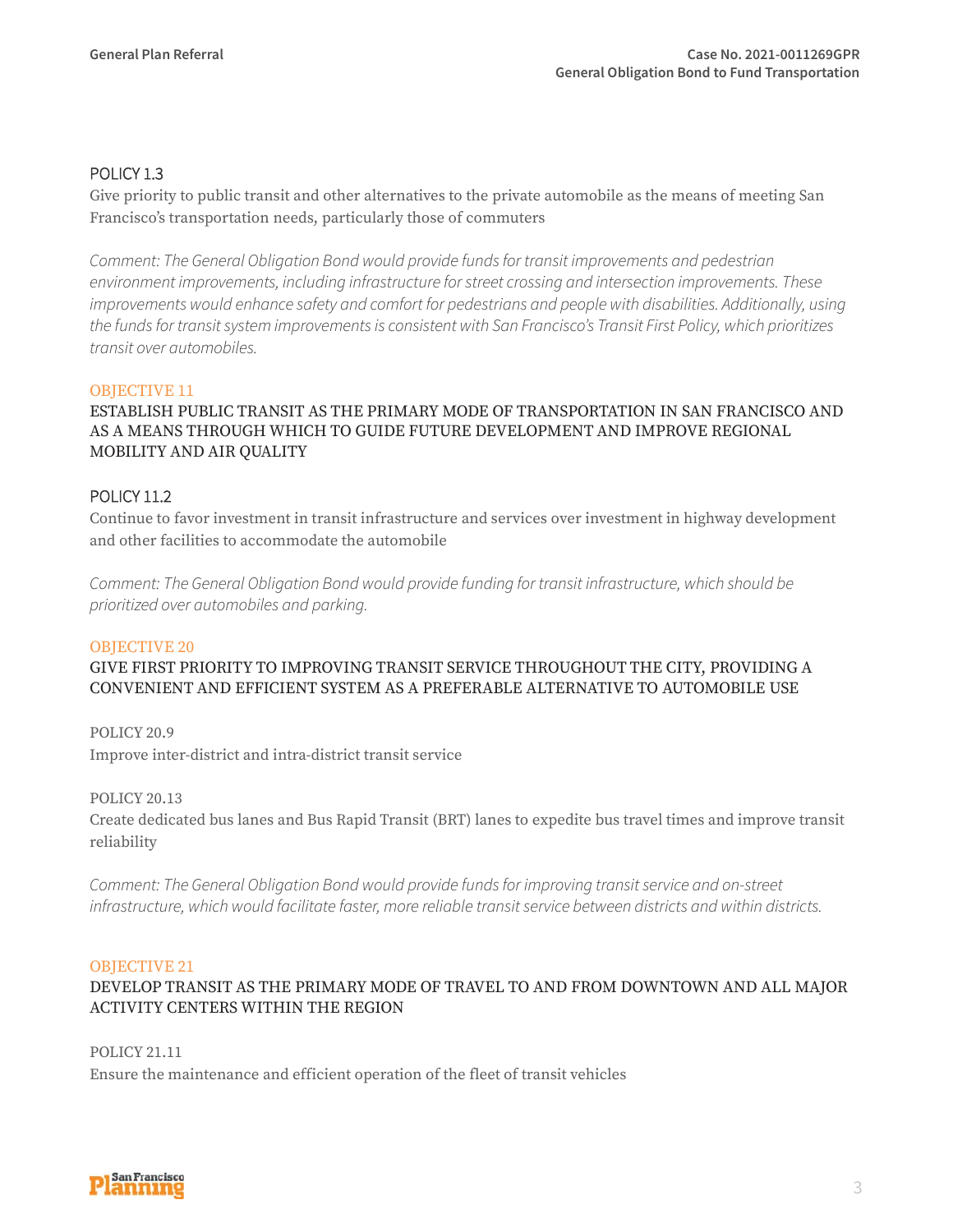#### POLICY 1.3

Give priority to public transit and other alternatives to the private automobile as the means of meeting San Francisco's transportation needs, particularly those of commuters

*Comment: The General Obligation Bond would provide funds for transit improvements and pedestrian environment improvements, including infrastructure for street crossing and intersection improvements. These improvements would enhance safety and comfort for pedestrians and people with disabilities. Additionally, using the funds for transit system improvements is consistent with San Francisco's Transit First Policy, which prioritizes transit over automobiles.*

#### OBJECTIVE 11

#### ESTABLISH PUBLIC TRANSIT AS THE PRIMARY MODE OF TRANSPORTATION IN SAN FRANCISCO AND AS A MEANS THROUGH WHICH TO GUIDE FUTURE DEVELOPMENT AND IMPROVE REGIONAL MOBILITY AND AIR QUALITY

#### POLICY 11.2

Continue to favor investment in transit infrastructure and services over investment in highway development and other facilities to accommodate the automobile

*Comment: The General Obligation Bond would provide funding for transit infrastructure, which should be prioritized over automobiles and parking.*

#### OBJECTIVE 20

GIVE FIRST PRIORITY TO IMPROVING TRANSIT SERVICE THROUGHOUT THE CITY, PROVIDING A CONVENIENT AND EFFICIENT SYSTEM AS A PREFERABLE ALTERNATIVE TO AUTOMOBILE USE

POLICY 20.9 Improve inter-district and intra-district transit service

POLICY 20.13

Create dedicated bus lanes and Bus Rapid Transit (BRT) lanes to expedite bus travel times and improve transit reliability

*Comment: The General Obligation Bond would provide funds for improving transit service and on-street infrastructure, which would facilitate faster, more reliable transit service between districts and within districts.* 

#### OBJECTIVE 21

#### DEVELOP TRANSIT AS THE PRIMARY MODE OF TRAVEL TO AND FROM DOWNTOWN AND ALL MAJOR ACTIVITY CENTERS WITHIN THE REGION

POLICY 21.11 Ensure the maintenance and efficient operation of the fleet of transit vehicles

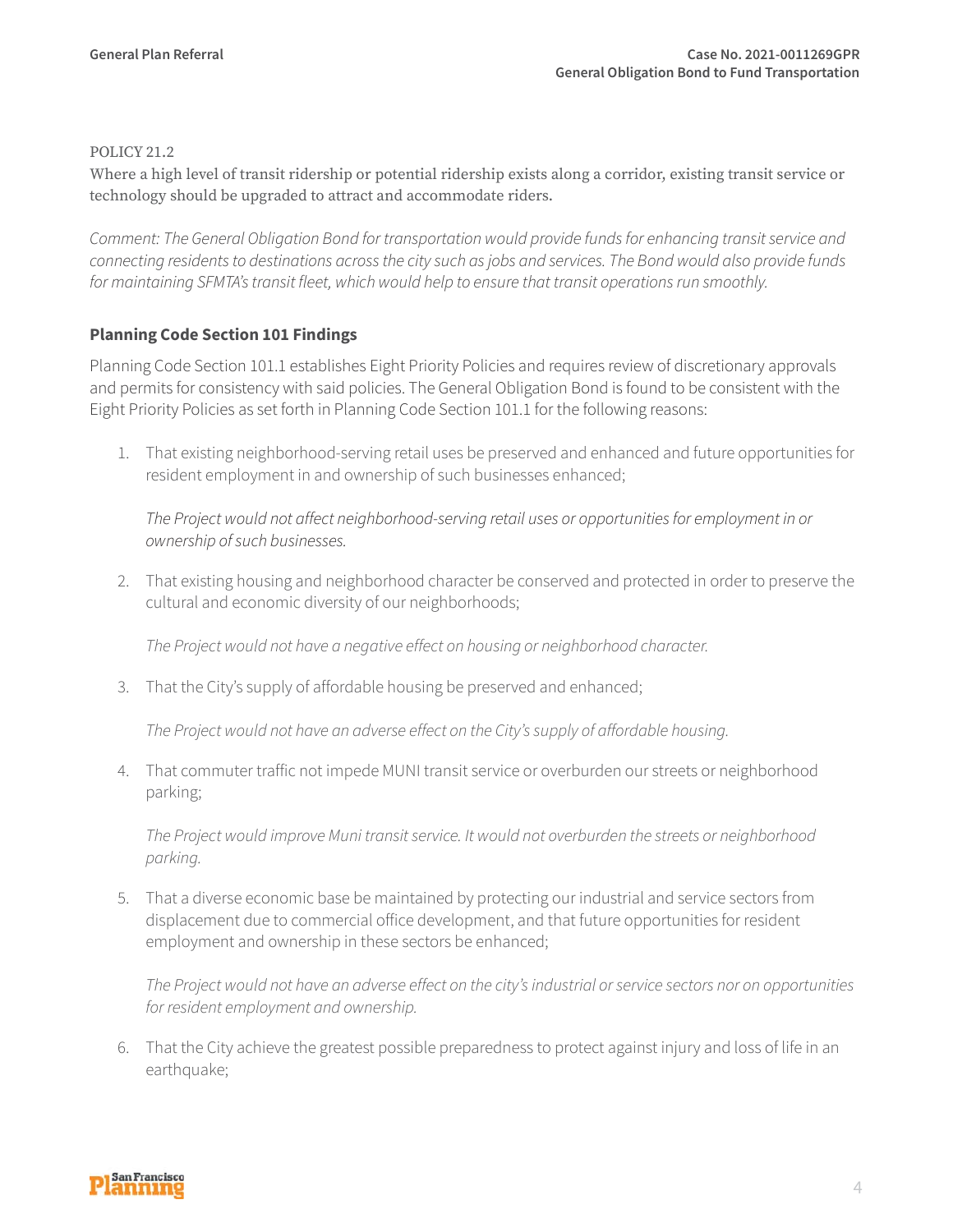#### POLICY 21.2

Where a high level of transit ridership or potential ridership exists along a corridor, existing transit service or technology should be upgraded to attract and accommodate riders.

*Comment: The General Obligation Bond for transportation would provide funds for enhancing transit service and connecting residents to destinations across the city such as jobs and services. The Bond would also provide funds for maintaining SFMTA's transit fleet, which would help to ensure that transit operations run smoothly.* 

#### **Planning Code Section 101 Findings**

Planning Code Section 101.1 establishes Eight Priority Policies and requires review of discretionary approvals and permits for consistency with said policies. The General Obligation Bond is found to be consistent with the Eight Priority Policies as set forth in Planning Code Section 101.1 for the following reasons:

1. That existing neighborhood-serving retail uses be preserved and enhanced and future opportunities for resident employment in and ownership of such businesses enhanced;

*The Project would not affect neighborhood-serving retail uses or opportunities for employment in or ownership of such businesses.*

2. That existing housing and neighborhood character be conserved and protected in order to preserve the cultural and economic diversity of our neighborhoods;

*The Project would not have a negative effect on housing or neighborhood character.*

3. That the City's supply of affordable housing be preserved and enhanced;

*The Project would not have an adverse effect on the City's supply of affordable housing.* 

4. That commuter traffic not impede MUNI transit service or overburden our streets or neighborhood parking;

*The Project would improve Muni transit service. It would not overburden the streets or neighborhood parking.* 

5. That a diverse economic base be maintained by protecting our industrial and service sectors from displacement due to commercial office development, and that future opportunities for resident employment and ownership in these sectors be enhanced;

*The Project would not have an adverse effect on the city's industrial or service sectors nor on opportunities for resident employment and ownership.*

6. That the City achieve the greatest possible preparedness to protect against injury and loss of life in an earthquake;